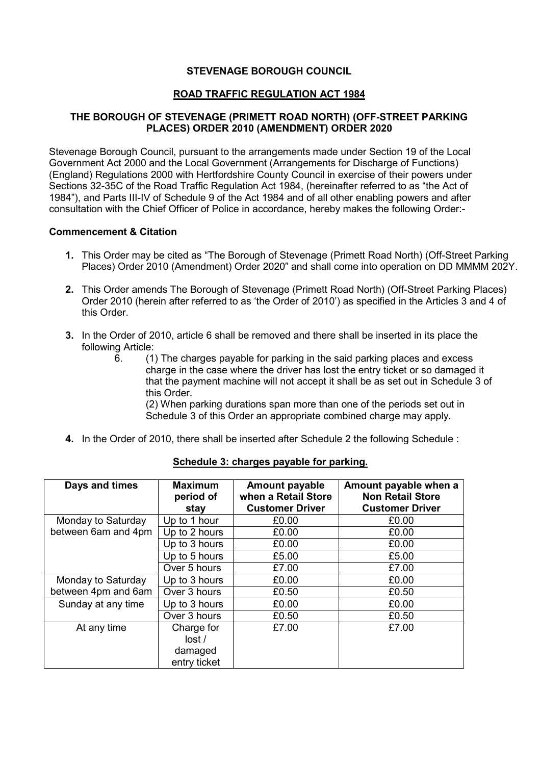## **STEVENAGE BOROUGH COUNCIL**

# **ROAD TRAFFIC REGULATION ACT 1984**

## **THE BOROUGH OF STEVENAGE (PRIMETT ROAD NORTH) (OFF-STREET PARKING PLACES) ORDER 2010 (AMENDMENT) ORDER 2020**

Stevenage Borough Council, pursuant to the arrangements made under Section 19 of the Local Government Act 2000 and the Local Government (Arrangements for Discharge of Functions) (England) Regulations 2000 with Hertfordshire County Council in exercise of their powers under Sections 32-35C of the Road Traffic Regulation Act 1984, (hereinafter referred to as "the Act of 1984"), and Parts III-IV of Schedule 9 of the Act 1984 and of all other enabling powers and after consultation with the Chief Officer of Police in accordance, hereby makes the following Order:-

#### **Commencement & Citation**

- **1.** This Order may be cited as "The Borough of Stevenage (Primett Road North) (Off-Street Parking Places) Order 2010 (Amendment) Order 2020" and shall come into operation on DD MMMM 202Y.
- **2.** This Order amends The Borough of Stevenage (Primett Road North) (Off-Street Parking Places) Order 2010 (herein after referred to as 'the Order of 2010') as specified in the Articles 3 and 4 of this Order.
- **3.** In the Order of 2010, article 6 shall be removed and there shall be inserted in its place the following Article:
	- 6. (1) The charges payable for parking in the said parking places and excess charge in the case where the driver has lost the entry ticket or so damaged it that the payment machine will not accept it shall be as set out in Schedule 3 of this Order.

(2) When parking durations span more than one of the periods set out in Schedule 3 of this Order an appropriate combined charge may apply.

**4.** In the Order of 2010, there shall be inserted after Schedule 2 the following Schedule :

| Days and times      | <b>Maximum</b><br>period of<br>stay | <b>Amount payable</b><br>when a Retail Store<br><b>Customer Driver</b> | Amount payable when a<br><b>Non Retail Store</b><br><b>Customer Driver</b> |
|---------------------|-------------------------------------|------------------------------------------------------------------------|----------------------------------------------------------------------------|
| Monday to Saturday  | Up to 1 hour                        | £0.00                                                                  | £0.00                                                                      |
| between 6am and 4pm | Up to 2 hours                       | £0.00                                                                  | £0.00                                                                      |
|                     | Up to 3 hours                       | £0.00                                                                  | £0.00                                                                      |
|                     | Up to 5 hours                       | £5.00                                                                  | £5.00                                                                      |
|                     | Over 5 hours                        | £7.00                                                                  | £7.00                                                                      |
| Monday to Saturday  | Up to 3 hours                       | £0.00                                                                  | £0.00                                                                      |
| between 4pm and 6am | Over 3 hours                        | £0.50                                                                  | £0.50                                                                      |
| Sunday at any time  | Up to 3 hours                       | £0.00                                                                  | £0.00                                                                      |
|                     | Over 3 hours                        | £0.50                                                                  | £0.50                                                                      |
| At any time         | Charge for<br>lost/                 | £7.00                                                                  | £7.00                                                                      |
|                     | damaged<br>entry ticket             |                                                                        |                                                                            |

## **Schedule 3: charges payable for parking.**